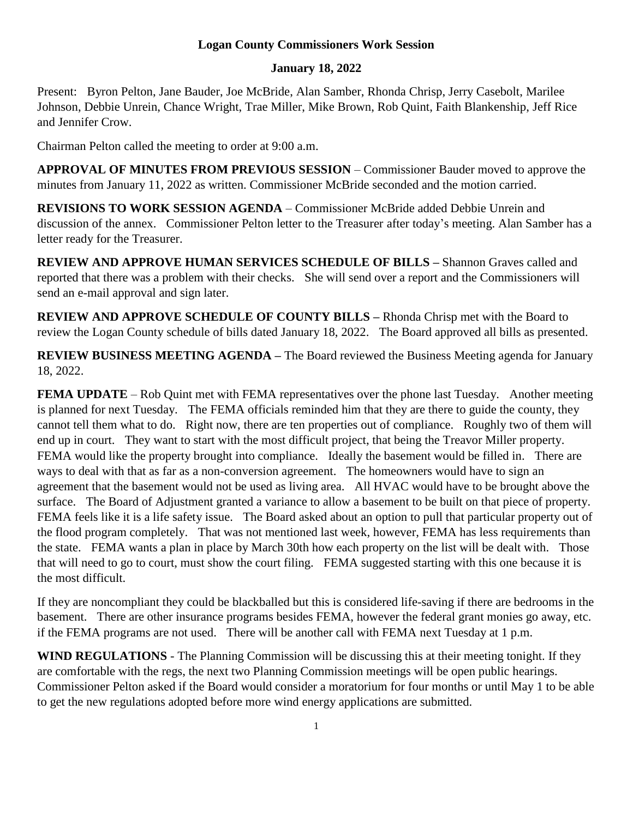## **Logan County Commissioners Work Session**

## **January 18, 2022**

Present: Byron Pelton, Jane Bauder, Joe McBride, Alan Samber, Rhonda Chrisp, Jerry Casebolt, Marilee Johnson, Debbie Unrein, Chance Wright, Trae Miller, Mike Brown, Rob Quint, Faith Blankenship, Jeff Rice and Jennifer Crow.

Chairman Pelton called the meeting to order at 9:00 a.m.

**APPROVAL OF MINUTES FROM PREVIOUS SESSION** – Commissioner Bauder moved to approve the minutes from January 11, 2022 as written. Commissioner McBride seconded and the motion carried.

**REVISIONS TO WORK SESSION AGENDA** – Commissioner McBride added Debbie Unrein and discussion of the annex. Commissioner Pelton letter to the Treasurer after today's meeting. Alan Samber has a letter ready for the Treasurer.

**REVIEW AND APPROVE HUMAN SERVICES SCHEDULE OF BILLS –** Shannon Graves called and reported that there was a problem with their checks. She will send over a report and the Commissioners will send an e-mail approval and sign later.

**REVIEW AND APPROVE SCHEDULE OF COUNTY BILLS –** Rhonda Chrisp met with the Board to review the Logan County schedule of bills dated January 18, 2022. The Board approved all bills as presented.

**REVIEW BUSINESS MEETING AGENDA –** The Board reviewed the Business Meeting agenda for January 18, 2022.

**FEMA UPDATE** – Rob Quint met with FEMA representatives over the phone last Tuesday. Another meeting is planned for next Tuesday. The FEMA officials reminded him that they are there to guide the county, they cannot tell them what to do. Right now, there are ten properties out of compliance. Roughly two of them will end up in court. They want to start with the most difficult project, that being the Treavor Miller property. FEMA would like the property brought into compliance. Ideally the basement would be filled in. There are ways to deal with that as far as a non-conversion agreement. The homeowners would have to sign an agreement that the basement would not be used as living area. All HVAC would have to be brought above the surface. The Board of Adjustment granted a variance to allow a basement to be built on that piece of property. FEMA feels like it is a life safety issue. The Board asked about an option to pull that particular property out of the flood program completely. That was not mentioned last week, however, FEMA has less requirements than the state. FEMA wants a plan in place by March 30th how each property on the list will be dealt with. Those that will need to go to court, must show the court filing. FEMA suggested starting with this one because it is the most difficult.

If they are noncompliant they could be blackballed but this is considered life-saving if there are bedrooms in the basement. There are other insurance programs besides FEMA, however the federal grant monies go away, etc. if the FEMA programs are not used. There will be another call with FEMA next Tuesday at 1 p.m.

**WIND REGULATIONS** - The Planning Commission will be discussing this at their meeting tonight. If they are comfortable with the regs, the next two Planning Commission meetings will be open public hearings. Commissioner Pelton asked if the Board would consider a moratorium for four months or until May 1 to be able to get the new regulations adopted before more wind energy applications are submitted.